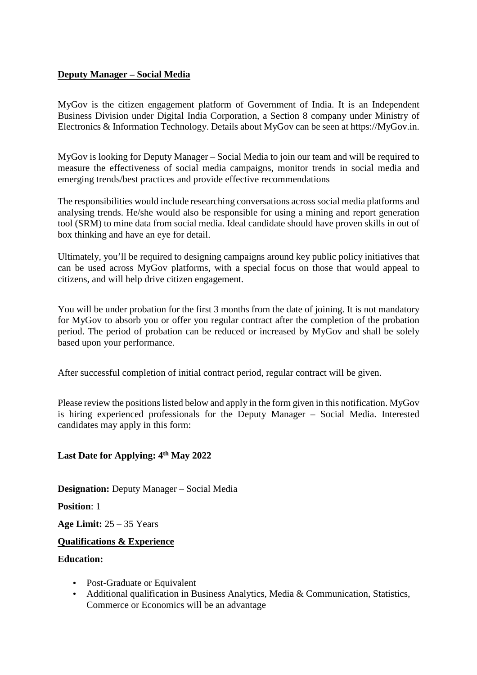# **Deputy Manager – Social Media**

MyGov is the citizen engagement platform of Government of India. It is an Independent Business Division under Digital India Corporation, a Section 8 company under Ministry of Electronics & Information Technology. Details about MyGov can be seen at https://MyGov.in.

MyGov is looking for Deputy Manager – Social Media to join our team and will be required to measure the effectiveness of social media campaigns, monitor trends in social media and emerging trends/best practices and provide effective recommendations

The responsibilities would include researching conversations across social media platforms and analysing trends. He/she would also be responsible for using a mining and report generation tool (SRM) to mine data from social media. Ideal candidate should have proven skills in out of box thinking and have an eye for detail.

Ultimately, you'll be required to designing campaigns around key public policy initiatives that can be used across MyGov platforms, with a special focus on those that would appeal to citizens, and will help drive citizen engagement.

You will be under probation for the first 3 months from the date of joining. It is not mandatory for MyGov to absorb you or offer you regular contract after the completion of the probation period. The period of probation can be reduced or increased by MyGov and shall be solely based upon your performance.

After successful completion of initial contract period, regular contract will be given.

Please review the positions listed below and apply in the form given in this notification. MyGov is hiring experienced professionals for the Deputy Manager – Social Media. Interested candidates may apply in this form:

# **Last Date for Applying: 4th May 2022**

**Designation:** Deputy Manager – Social Media

**Position**: 1

**Age Limit:** 25 – 35 Years

#### **Qualifications & Experience**

### **Education:**

- Post-Graduate or Equivalent
- Additional qualification in Business Analytics, Media & Communication, Statistics, Commerce or Economics will be an advantage